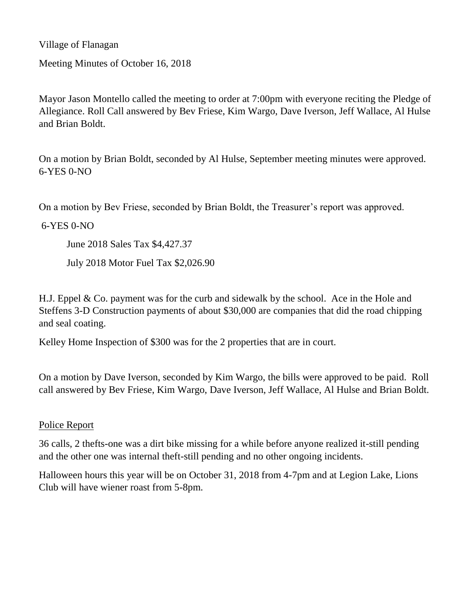Village of Flanagan

Meeting Minutes of October 16, 2018

Mayor Jason Montello called the meeting to order at 7:00pm with everyone reciting the Pledge of Allegiance. Roll Call answered by Bev Friese, Kim Wargo, Dave Iverson, Jeff Wallace, Al Hulse and Brian Boldt.

On a motion by Brian Boldt, seconded by Al Hulse, September meeting minutes were approved. 6-YES 0-NO

On a motion by Bev Friese, seconded by Brian Boldt, the Treasurer's report was approved.

6-YES 0-NO

June 2018 Sales Tax \$4,427.37

July 2018 Motor Fuel Tax \$2,026.90

H.J. Eppel & Co. payment was for the curb and sidewalk by the school. Ace in the Hole and Steffens 3-D Construction payments of about \$30,000 are companies that did the road chipping and seal coating.

Kelley Home Inspection of \$300 was for the 2 properties that are in court.

On a motion by Dave Iverson, seconded by Kim Wargo, the bills were approved to be paid. Roll call answered by Bev Friese, Kim Wargo, Dave Iverson, Jeff Wallace, Al Hulse and Brian Boldt.

#### Police Report

36 calls, 2 thefts-one was a dirt bike missing for a while before anyone realized it-still pending and the other one was internal theft-still pending and no other ongoing incidents.

Halloween hours this year will be on October 31, 2018 from 4-7pm and at Legion Lake, Lions Club will have wiener roast from 5-8pm.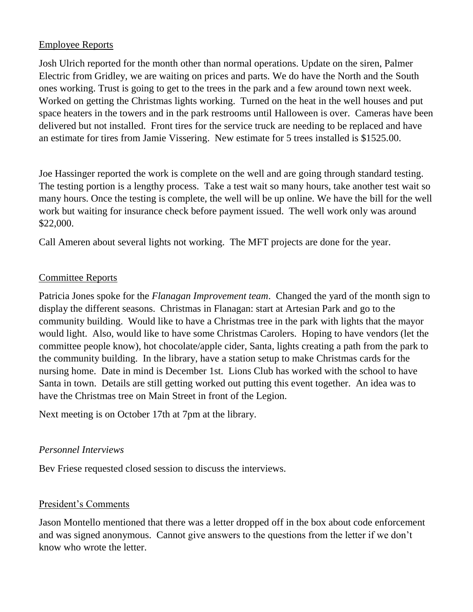## Employee Reports

Josh Ulrich reported for the month other than normal operations. Update on the siren, Palmer Electric from Gridley, we are waiting on prices and parts. We do have the North and the South ones working. Trust is going to get to the trees in the park and a few around town next week. Worked on getting the Christmas lights working. Turned on the heat in the well houses and put space heaters in the towers and in the park restrooms until Halloween is over. Cameras have been delivered but not installed. Front tires for the service truck are needing to be replaced and have an estimate for tires from Jamie Vissering. New estimate for 5 trees installed is \$1525.00.

Joe Hassinger reported the work is complete on the well and are going through standard testing. The testing portion is a lengthy process. Take a test wait so many hours, take another test wait so many hours. Once the testing is complete, the well will be up online. We have the bill for the well work but waiting for insurance check before payment issued. The well work only was around \$22,000.

Call Ameren about several lights not working. The MFT projects are done for the year.

#### Committee Reports

Patricia Jones spoke for the *Flanagan Improvement team*. Changed the yard of the month sign to display the different seasons. Christmas in Flanagan: start at Artesian Park and go to the community building. Would like to have a Christmas tree in the park with lights that the mayor would light. Also, would like to have some Christmas Carolers. Hoping to have vendors (let the committee people know), hot chocolate/apple cider, Santa, lights creating a path from the park to the community building. In the library, have a station setup to make Christmas cards for the nursing home. Date in mind is December 1st. Lions Club has worked with the school to have Santa in town. Details are still getting worked out putting this event together. An idea was to have the Christmas tree on Main Street in front of the Legion.

Next meeting is on October 17th at 7pm at the library.

#### *Personnel Interviews*

Bev Friese requested closed session to discuss the interviews.

#### President's Comments

Jason Montello mentioned that there was a letter dropped off in the box about code enforcement and was signed anonymous. Cannot give answers to the questions from the letter if we don't know who wrote the letter.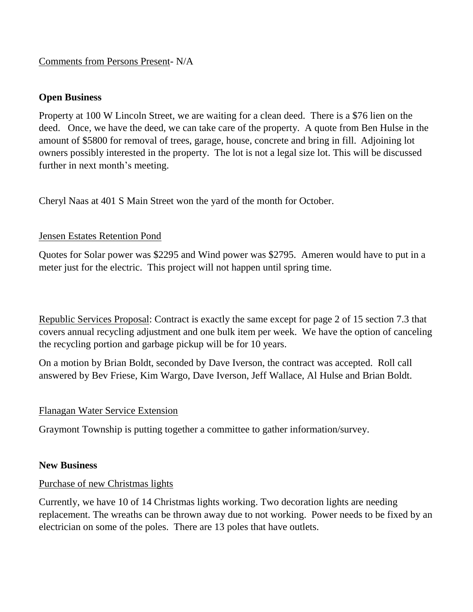#### Comments from Persons Present- N/A

#### **Open Business**

Property at 100 W Lincoln Street, we are waiting for a clean deed. There is a \$76 lien on the deed. Once, we have the deed, we can take care of the property. A quote from Ben Hulse in the amount of \$5800 for removal of trees, garage, house, concrete and bring in fill. Adjoining lot owners possibly interested in the property. The lot is not a legal size lot. This will be discussed further in next month's meeting.

Cheryl Naas at 401 S Main Street won the yard of the month for October.

## Jensen Estates Retention Pond

Quotes for Solar power was \$2295 and Wind power was \$2795. Ameren would have to put in a meter just for the electric. This project will not happen until spring time.

Republic Services Proposal: Contract is exactly the same except for page 2 of 15 section 7.3 that covers annual recycling adjustment and one bulk item per week. We have the option of canceling the recycling portion and garbage pickup will be for 10 years.

On a motion by Brian Boldt, seconded by Dave Iverson, the contract was accepted. Roll call answered by Bev Friese, Kim Wargo, Dave Iverson, Jeff Wallace, Al Hulse and Brian Boldt.

## Flanagan Water Service Extension

Graymont Township is putting together a committee to gather information/survey.

## **New Business**

## Purchase of new Christmas lights

Currently, we have 10 of 14 Christmas lights working. Two decoration lights are needing replacement. The wreaths can be thrown away due to not working. Power needs to be fixed by an electrician on some of the poles. There are 13 poles that have outlets.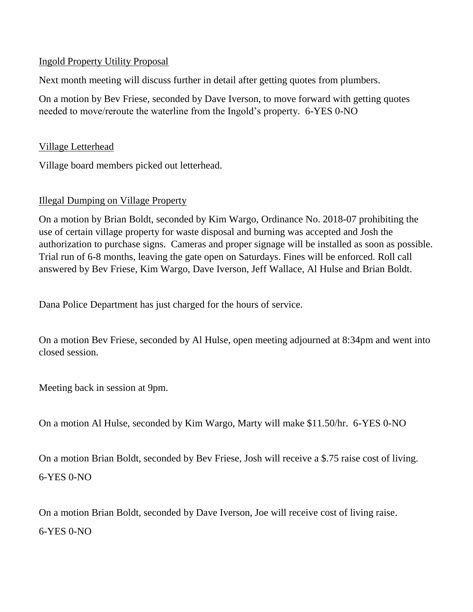## Ingold Property Utility Proposal

Next month meeting will discuss further in detail after getting quotes from plumbers.

On a motion by Bev Friese, seconded by Dave Iverson, to move forward with getting quotes needed to move/reroute the waterline from the Ingold's property. 6-YES 0-NO

# Village Letterhead

Village board members picked out letterhead.

## Illegal Dumping on Village Property

On a motion by Brian Boldt, seconded by Kim Wargo, Ordinance No. 2018-07 prohibiting the use of certain village property for waste disposal and burning was accepted and Josh the authorization to purchase signs. Cameras and proper signage will be installed as soon as possible. Trial run of 6-8 months, leaving the gate open on Saturdays. Fines will be enforced. Roll call answered by Bev Friese, Kim Wargo, Dave Iverson, Jeff Wallace, Al Hulse and Brian Boldt.

Dana Police Department has just charged for the hours of service.

On a motion Bev Friese, seconded by Al Hulse, open meeting adjourned at 8:34pm and went into closed session.

Meeting back in session at 9pm.

On a motion Al Hulse, seconded by Kim Wargo, Marty will make \$11.50/hr. 6-YES 0-NO

On a motion Brian Boldt, seconded by Bev Friese, Josh will receive a \$.75 raise cost of living. 6-YES 0-NO

On a motion Brian Boldt, seconded by Dave Iverson, Joe will receive cost of living raise. 6-YES 0-NO